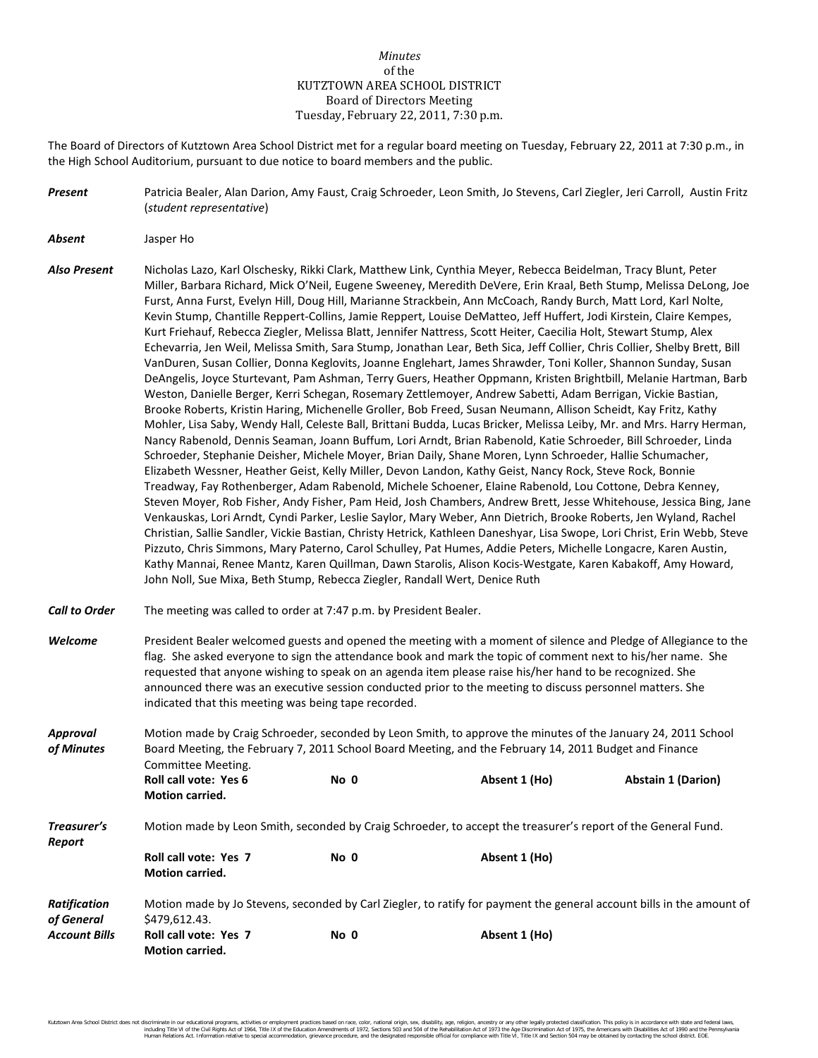## *Minutes* of the KUTZTOWN AREA SCHOOL DISTRICT Board of Directors Meeting Tuesday, February 22, 2011, 7:30 p.m.

The Board of Directors of Kutztown Area School District met for a regular board meeting on Tuesday, February 22, 2011 at 7:30 p.m., in the High School Auditorium, pursuant to due notice to board members and the public.

- *Present* Patricia Bealer, Alan Darion, Amy Faust, Craig Schroeder, Leon Smith, Jo Stevens, Carl Ziegler, Jeri Carroll, Austin Fritz (*student representative*)
- *Absent* Jasper Ho

*Report*

- *Also Present* Nicholas Lazo, Karl Olschesky, Rikki Clark, Matthew Link, Cynthia Meyer, Rebecca Beidelman, Tracy Blunt, Peter Miller, Barbara Richard, Mick O'Neil, Eugene Sweeney, Meredith DeVere, Erin Kraal, Beth Stump, Melissa DeLong, Joe Furst, Anna Furst, Evelyn Hill, Doug Hill, Marianne Strackbein, Ann McCoach, Randy Burch, Matt Lord, Karl Nolte, Kevin Stump, Chantille Reppert-Collins, Jamie Reppert, Louise DeMatteo, Jeff Huffert, Jodi Kirstein, Claire Kempes, Kurt Friehauf, Rebecca Ziegler, Melissa Blatt, Jennifer Nattress, Scott Heiter, Caecilia Holt, Stewart Stump, Alex Echevarria, Jen Weil, Melissa Smith, Sara Stump, Jonathan Lear, Beth Sica, Jeff Collier, Chris Collier, Shelby Brett, Bill VanDuren, Susan Collier, Donna Keglovits, Joanne Englehart, James Shrawder, Toni Koller, Shannon Sunday, Susan DeAngelis, Joyce Sturtevant, Pam Ashman, Terry Guers, Heather Oppmann, Kristen Brightbill, Melanie Hartman, Barb Weston, Danielle Berger, Kerri Schegan, Rosemary Zettlemoyer, Andrew Sabetti, Adam Berrigan, Vickie Bastian, Brooke Roberts, Kristin Haring, Michenelle Groller, Bob Freed, Susan Neumann, Allison Scheidt, Kay Fritz, Kathy Mohler, Lisa Saby, Wendy Hall, Celeste Ball, Brittani Budda, Lucas Bricker, Melissa Leiby, Mr. and Mrs. Harry Herman, Nancy Rabenold, Dennis Seaman, Joann Buffum, Lori Arndt, Brian Rabenold, Katie Schroeder, Bill Schroeder, Linda Schroeder, Stephanie Deisher, Michele Moyer, Brian Daily, Shane Moren, Lynn Schroeder, Hallie Schumacher, Elizabeth Wessner, Heather Geist, Kelly Miller, Devon Landon, Kathy Geist, Nancy Rock, Steve Rock, Bonnie Treadway, Fay Rothenberger, Adam Rabenold, Michele Schoener, Elaine Rabenold, Lou Cottone, Debra Kenney, Steven Moyer, Rob Fisher, Andy Fisher, Pam Heid, Josh Chambers, Andrew Brett, Jesse Whitehouse, Jessica Bing, Jane Venkauskas, Lori Arndt, Cyndi Parker, Leslie Saylor, Mary Weber, Ann Dietrich, Brooke Roberts, Jen Wyland, Rachel Christian, Sallie Sandler, Vickie Bastian, Christy Hetrick, Kathleen Daneshyar, Lisa Swope, Lori Christ, Erin Webb, Steve Pizzuto, Chris Simmons, Mary Paterno, Carol Schulley, Pat Humes, Addie Peters, Michelle Longacre, Karen Austin, Kathy Mannai, Renee Mantz, Karen Quillman, Dawn Starolis, Alison Kocis-Westgate, Karen Kabakoff, Amy Howard, John Noll, Sue Mixa, Beth Stump, Rebecca Ziegler, Randall Wert, Denice Ruth
- *Call to Order* The meeting was called to order at 7:47 p.m. by President Bealer.
- *Welcome* President Bealer welcomed guests and opened the meeting with a moment of silence and Pledge of Allegiance to the flag. She asked everyone to sign the attendance book and mark the topic of comment next to his/her name. She requested that anyone wishing to speak on an agenda item please raise his/her hand to be recognized. She announced there was an executive session conducted prior to the meeting to discuss personnel matters. She indicated that this meeting was being tape recorded.

*Approval* Motion made by Craig Schroeder, seconded by Leon Smith, to approve the minutes of the January 24, 2011 School *of Minutes* Board Meeting, the February 7, 2011 School Board Meeting, and the February 14, 2011 Budget and Finance Committee Meeting. **Roll call vote: Yes 6 No 0 Absent 1 (Ho) Abstain 1 (Darion) Motion carried.** *Treasurer's* Motion made by Leon Smith, seconded by Craig Schroeder, to accept the treasurer's report of the General Fund.

|                      | <b>Roll call vote: Yes 7</b><br><b>Motion carried.</b> | No 0 | Absent 1 (Ho)                                                                                                         |  |
|----------------------|--------------------------------------------------------|------|-----------------------------------------------------------------------------------------------------------------------|--|
| Ratification         |                                                        |      | Motion made by Jo Stevens, seconded by Carl Ziegler, to ratify for payment the general account bills in the amount of |  |
| of General           | \$479.612.43.                                          |      |                                                                                                                       |  |
| <b>Account Bills</b> | <b>Roll call vote: Yes 7</b><br><b>Motion carried.</b> | No 0 | Absent 1 (Ho)                                                                                                         |  |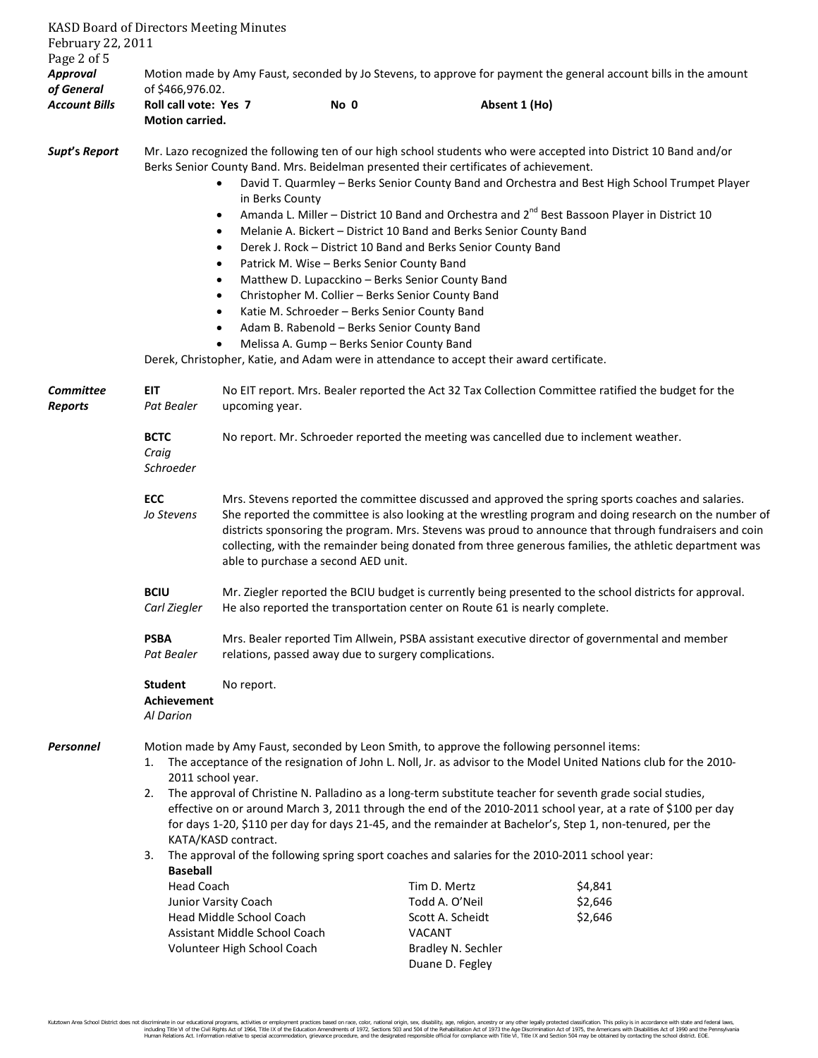| February 22, 2011<br>Page 2 of 5 | <b>KASD Board of Directors Meeting Minutes</b>                                                                                                                                                                                                                                                                                                                                                                                                                                                                                                                                                                                                                                                                                                  |                                                                                                                                                                                                                                                                                                                                                                                                                                                                          |                                                                                                                                                                                                                                                                                                                                                                                                                                                                                                                                                                                                                                |                                       |                                                                                                                                                                                                                                                                                                                                |  |
|----------------------------------|-------------------------------------------------------------------------------------------------------------------------------------------------------------------------------------------------------------------------------------------------------------------------------------------------------------------------------------------------------------------------------------------------------------------------------------------------------------------------------------------------------------------------------------------------------------------------------------------------------------------------------------------------------------------------------------------------------------------------------------------------|--------------------------------------------------------------------------------------------------------------------------------------------------------------------------------------------------------------------------------------------------------------------------------------------------------------------------------------------------------------------------------------------------------------------------------------------------------------------------|--------------------------------------------------------------------------------------------------------------------------------------------------------------------------------------------------------------------------------------------------------------------------------------------------------------------------------------------------------------------------------------------------------------------------------------------------------------------------------------------------------------------------------------------------------------------------------------------------------------------------------|---------------------------------------|--------------------------------------------------------------------------------------------------------------------------------------------------------------------------------------------------------------------------------------------------------------------------------------------------------------------------------|--|
| <b>Approval</b><br>of General    | Motion made by Amy Faust, seconded by Jo Stevens, to approve for payment the general account bills in the amount<br>of \$466,976.02.                                                                                                                                                                                                                                                                                                                                                                                                                                                                                                                                                                                                            |                                                                                                                                                                                                                                                                                                                                                                                                                                                                          |                                                                                                                                                                                                                                                                                                                                                                                                                                                                                                                                                                                                                                |                                       |                                                                                                                                                                                                                                                                                                                                |  |
| <b>Account Bills</b>             | Roll call vote: Yes 7<br><b>Motion carried.</b>                                                                                                                                                                                                                                                                                                                                                                                                                                                                                                                                                                                                                                                                                                 |                                                                                                                                                                                                                                                                                                                                                                                                                                                                          | No 0                                                                                                                                                                                                                                                                                                                                                                                                                                                                                                                                                                                                                           | Absent 1 (Ho)                         |                                                                                                                                                                                                                                                                                                                                |  |
| Supt's Report                    |                                                                                                                                                                                                                                                                                                                                                                                                                                                                                                                                                                                                                                                                                                                                                 | $\bullet$<br>in Berks County<br>$\bullet$<br>$\bullet$<br>$\bullet$<br>٠<br>٠<br>٠                                                                                                                                                                                                                                                                                                                                                                                       | Berks Senior County Band. Mrs. Beidelman presented their certificates of achievement.<br>Melanie A. Bickert - District 10 Band and Berks Senior County Band<br>Derek J. Rock - District 10 Band and Berks Senior County Band<br>Patrick M. Wise - Berks Senior County Band<br>Matthew D. Lupacckino - Berks Senior County Band<br>Christopher M. Collier - Berks Senior County Band<br>Katie M. Schroeder - Berks Senior County Band<br>Adam B. Rabenold - Berks Senior County Band<br>Melissa A. Gump - Berks Senior County Band<br>Derek, Christopher, Katie, and Adam were in attendance to accept their award certificate. |                                       | Mr. Lazo recognized the following ten of our high school students who were accepted into District 10 Band and/or<br>David T. Quarmley - Berks Senior County Band and Orchestra and Best High School Trumpet Player<br>Amanda L. Miller - District 10 Band and Orchestra and 2 <sup>nd</sup> Best Bassoon Player in District 10 |  |
| Committee<br><b>Reports</b>      | <b>EIT</b><br>No EIT report. Mrs. Bealer reported the Act 32 Tax Collection Committee ratified the budget for the<br>upcoming year.<br>Pat Bealer                                                                                                                                                                                                                                                                                                                                                                                                                                                                                                                                                                                               |                                                                                                                                                                                                                                                                                                                                                                                                                                                                          |                                                                                                                                                                                                                                                                                                                                                                                                                                                                                                                                                                                                                                |                                       |                                                                                                                                                                                                                                                                                                                                |  |
|                                  | <b>BCTC</b><br>Craig<br>Schroeder                                                                                                                                                                                                                                                                                                                                                                                                                                                                                                                                                                                                                                                                                                               | No report. Mr. Schroeder reported the meeting was cancelled due to inclement weather.                                                                                                                                                                                                                                                                                                                                                                                    |                                                                                                                                                                                                                                                                                                                                                                                                                                                                                                                                                                                                                                |                                       |                                                                                                                                                                                                                                                                                                                                |  |
|                                  | ECC<br>Jo Stevens                                                                                                                                                                                                                                                                                                                                                                                                                                                                                                                                                                                                                                                                                                                               | Mrs. Stevens reported the committee discussed and approved the spring sports coaches and salaries.<br>She reported the committee is also looking at the wrestling program and doing research on the number of<br>districts sponsoring the program. Mrs. Stevens was proud to announce that through fundraisers and coin<br>collecting, with the remainder being donated from three generous families, the athletic department was<br>able to purchase a second AED unit. |                                                                                                                                                                                                                                                                                                                                                                                                                                                                                                                                                                                                                                |                                       |                                                                                                                                                                                                                                                                                                                                |  |
|                                  | <b>BCIU</b><br>Carl Ziegler                                                                                                                                                                                                                                                                                                                                                                                                                                                                                                                                                                                                                                                                                                                     | Mr. Ziegler reported the BCIU budget is currently being presented to the school districts for approval.<br>He also reported the transportation center on Route 61 is nearly complete.                                                                                                                                                                                                                                                                                    |                                                                                                                                                                                                                                                                                                                                                                                                                                                                                                                                                                                                                                |                                       |                                                                                                                                                                                                                                                                                                                                |  |
|                                  | <b>PSBA</b><br>Pat Bealer                                                                                                                                                                                                                                                                                                                                                                                                                                                                                                                                                                                                                                                                                                                       | Mrs. Bealer reported Tim Allwein, PSBA assistant executive director of governmental and member<br>relations, passed away due to surgery complications.                                                                                                                                                                                                                                                                                                                   |                                                                                                                                                                                                                                                                                                                                                                                                                                                                                                                                                                                                                                |                                       |                                                                                                                                                                                                                                                                                                                                |  |
|                                  | <b>Student</b><br>Achievement<br>Al Darion                                                                                                                                                                                                                                                                                                                                                                                                                                                                                                                                                                                                                                                                                                      | No report.                                                                                                                                                                                                                                                                                                                                                                                                                                                               |                                                                                                                                                                                                                                                                                                                                                                                                                                                                                                                                                                                                                                |                                       |                                                                                                                                                                                                                                                                                                                                |  |
| Personnel                        | Motion made by Amy Faust, seconded by Leon Smith, to approve the following personnel items:<br>The acceptance of the resignation of John L. Noll, Jr. as advisor to the Model United Nations club for the 2010-<br>1.<br>2011 school year.<br>The approval of Christine N. Palladino as a long-term substitute teacher for seventh grade social studies,<br>2.<br>effective on or around March 3, 2011 through the end of the 2010-2011 school year, at a rate of \$100 per day<br>for days 1-20, \$110 per day for days 21-45, and the remainder at Bachelor's, Step 1, non-tenured, per the<br>KATA/KASD contract.<br>The approval of the following spring sport coaches and salaries for the 2010-2011 school year:<br>3.<br><b>Baseball</b> |                                                                                                                                                                                                                                                                                                                                                                                                                                                                          |                                                                                                                                                                                                                                                                                                                                                                                                                                                                                                                                                                                                                                |                                       |                                                                                                                                                                                                                                                                                                                                |  |
|                                  | <b>Head Coach</b>                                                                                                                                                                                                                                                                                                                                                                                                                                                                                                                                                                                                                                                                                                                               |                                                                                                                                                                                                                                                                                                                                                                                                                                                                          |                                                                                                                                                                                                                                                                                                                                                                                                                                                                                                                                                                                                                                | Tim D. Mertz                          | \$4,841                                                                                                                                                                                                                                                                                                                        |  |
|                                  |                                                                                                                                                                                                                                                                                                                                                                                                                                                                                                                                                                                                                                                                                                                                                 | Junior Varsity Coach                                                                                                                                                                                                                                                                                                                                                                                                                                                     |                                                                                                                                                                                                                                                                                                                                                                                                                                                                                                                                                                                                                                | Todd A. O'Neil                        | \$2,646                                                                                                                                                                                                                                                                                                                        |  |
|                                  |                                                                                                                                                                                                                                                                                                                                                                                                                                                                                                                                                                                                                                                                                                                                                 | Head Middle School Coach<br>Assistant Middle School Coach                                                                                                                                                                                                                                                                                                                                                                                                                |                                                                                                                                                                                                                                                                                                                                                                                                                                                                                                                                                                                                                                | Scott A. Scheidt<br>VACANT            | \$2,646                                                                                                                                                                                                                                                                                                                        |  |
|                                  |                                                                                                                                                                                                                                                                                                                                                                                                                                                                                                                                                                                                                                                                                                                                                 | Volunteer High School Coach                                                                                                                                                                                                                                                                                                                                                                                                                                              |                                                                                                                                                                                                                                                                                                                                                                                                                                                                                                                                                                                                                                | Bradley N. Sechler<br>Duane D. Fegley |                                                                                                                                                                                                                                                                                                                                |  |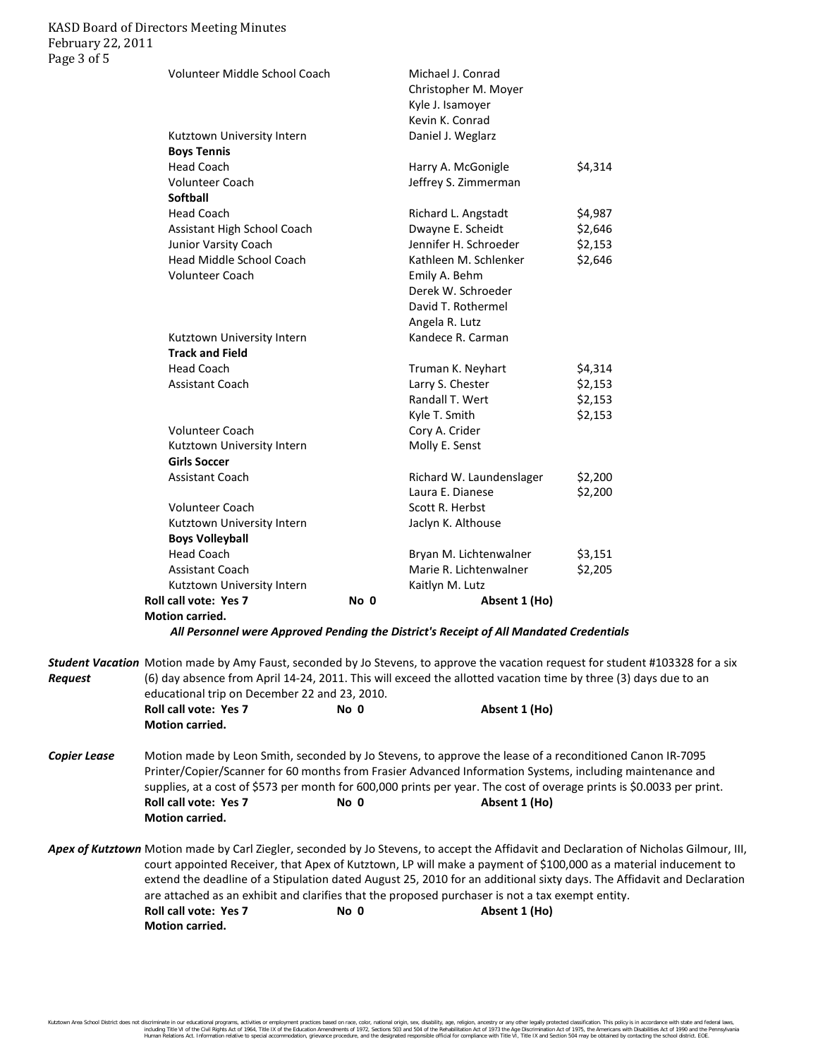## KASD Board of Directors Meeting Minutes February 22, 2011 Page 3 of 5

| Volunteer Middle School Coach |      | Michael J. Conrad        |         |
|-------------------------------|------|--------------------------|---------|
|                               |      | Christopher M. Moyer     |         |
|                               |      | Kyle J. Isamoyer         |         |
|                               |      | Kevin K. Conrad          |         |
| Kutztown University Intern    |      | Daniel J. Weglarz        |         |
| <b>Boys Tennis</b>            |      |                          |         |
| <b>Head Coach</b>             |      | Harry A. McGonigle       | \$4,314 |
| <b>Volunteer Coach</b>        |      | Jeffrey S. Zimmerman     |         |
| <b>Softball</b>               |      |                          |         |
| <b>Head Coach</b>             |      | Richard L. Angstadt      | \$4,987 |
| Assistant High School Coach   |      | Dwayne E. Scheidt        | \$2,646 |
| Junior Varsity Coach          |      | Jennifer H. Schroeder    | \$2,153 |
| Head Middle School Coach      |      | Kathleen M. Schlenker    | \$2,646 |
| <b>Volunteer Coach</b>        |      | Emily A. Behm            |         |
|                               |      | Derek W. Schroeder       |         |
|                               |      | David T. Rothermel       |         |
|                               |      | Angela R. Lutz           |         |
| Kutztown University Intern    |      | Kandece R. Carman        |         |
| <b>Track and Field</b>        |      |                          |         |
| <b>Head Coach</b>             |      | Truman K. Neyhart        | \$4,314 |
| <b>Assistant Coach</b>        |      | Larry S. Chester         | \$2,153 |
|                               |      | Randall T. Wert          | \$2,153 |
|                               |      | Kyle T. Smith            | \$2,153 |
| <b>Volunteer Coach</b>        |      | Cory A. Crider           |         |
| Kutztown University Intern    |      | Molly E. Senst           |         |
| <b>Girls Soccer</b>           |      |                          |         |
| <b>Assistant Coach</b>        |      | Richard W. Laundenslager | \$2,200 |
|                               |      | Laura E. Dianese         | \$2,200 |
| <b>Volunteer Coach</b>        |      | Scott R. Herbst          |         |
| Kutztown University Intern    |      | Jaclyn K. Althouse       |         |
| <b>Boys Volleyball</b>        |      |                          |         |
| <b>Head Coach</b>             |      | Bryan M. Lichtenwalner   | \$3,151 |
| <b>Assistant Coach</b>        |      | Marie R. Lichtenwalner   | \$2,205 |
| Kutztown University Intern    |      | Kaitlyn M. Lutz          |         |
| Roll call vote: Yes 7         | No 0 | Absent 1 (Ho)            |         |
| Motion carried.               |      |                          |         |

*All Personnel were Approved Pending the District's Receipt of All Mandated Credentials*

| <b>Request</b>      | Student Vacation Motion made by Amy Faust, seconded by Jo Stevens, to approve the vacation request for student #103328 for a six<br>(6) day absence from April 14-24, 2011. This will exceed the allotted vacation time by three (3) days due to an<br>educational trip on December 22 and 23, 2010. |                                                                                                                                                                                                                                                                                                                                                                                    |                                                                                                                                                                                                                                                                                                                                                                                                                                                                                                            |  |  |
|---------------------|------------------------------------------------------------------------------------------------------------------------------------------------------------------------------------------------------------------------------------------------------------------------------------------------------|------------------------------------------------------------------------------------------------------------------------------------------------------------------------------------------------------------------------------------------------------------------------------------------------------------------------------------------------------------------------------------|------------------------------------------------------------------------------------------------------------------------------------------------------------------------------------------------------------------------------------------------------------------------------------------------------------------------------------------------------------------------------------------------------------------------------------------------------------------------------------------------------------|--|--|
|                     | <b>Roll call vote: Yes 7</b><br><b>Motion carried.</b>                                                                                                                                                                                                                                               | No 0                                                                                                                                                                                                                                                                                                                                                                               | Absent 1 (Ho)                                                                                                                                                                                                                                                                                                                                                                                                                                                                                              |  |  |
| <b>Copier Lease</b> | <b>Roll call vote: Yes 7</b><br><b>Motion carried.</b>                                                                                                                                                                                                                                               | Motion made by Leon Smith, seconded by Jo Stevens, to approve the lease of a reconditioned Canon IR-7095<br>Printer/Copier/Scanner for 60 months from Frasier Advanced Information Systems, including maintenance and<br>supplies, at a cost of \$573 per month for 600,000 prints per year. The cost of overage prints is \$0.0033 per print.<br>Absent 1 (Ho)<br>No <sub>0</sub> |                                                                                                                                                                                                                                                                                                                                                                                                                                                                                                            |  |  |
|                     | <b>Roll call vote: Yes 7</b><br><b>Motion carried.</b>                                                                                                                                                                                                                                               | No <sub>0</sub>                                                                                                                                                                                                                                                                                                                                                                    | Apex of Kutztown Motion made by Carl Ziegler, seconded by Jo Stevens, to accept the Affidavit and Declaration of Nicholas Gilmour, III,<br>court appointed Receiver, that Apex of Kutztown, LP will make a payment of \$100,000 as a material inducement to<br>extend the deadline of a Stipulation dated August 25, 2010 for an additional sixty days. The Affidavit and Declaration<br>are attached as an exhibit and clarifies that the proposed purchaser is not a tax exempt entity.<br>Absent 1 (Ho) |  |  |

Kutztown Area School District does not discriminate in our educational programs, activities or employment practices based on race, color, national origin, sex, disability, age, religion, ancestry or any other legally prot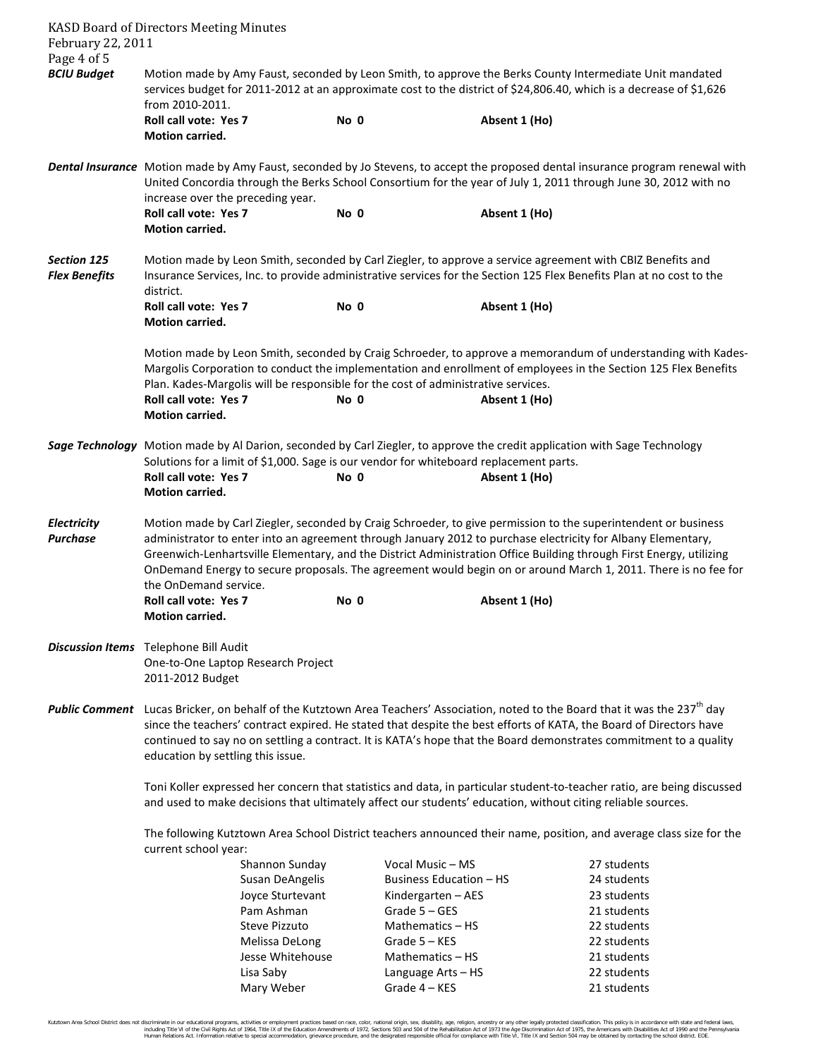|                                                                                                                                                                                                                                                                                         | <b>KASD Board of Directors Meeting Minutes</b>                                                                                                                                                                                                                                                                                                                                        |                  |                                     |                                                                                                                                                                                                                                                                                                                                                                                                                                                                                          |  |  |
|-----------------------------------------------------------------------------------------------------------------------------------------------------------------------------------------------------------------------------------------------------------------------------------------|---------------------------------------------------------------------------------------------------------------------------------------------------------------------------------------------------------------------------------------------------------------------------------------------------------------------------------------------------------------------------------------|------------------|-------------------------------------|------------------------------------------------------------------------------------------------------------------------------------------------------------------------------------------------------------------------------------------------------------------------------------------------------------------------------------------------------------------------------------------------------------------------------------------------------------------------------------------|--|--|
| February 22, 2011                                                                                                                                                                                                                                                                       |                                                                                                                                                                                                                                                                                                                                                                                       |                  |                                     |                                                                                                                                                                                                                                                                                                                                                                                                                                                                                          |  |  |
| Page 4 of 5<br><b>BCIU Budget</b><br>Motion made by Amy Faust, seconded by Leon Smith, to approve the Berks County Intermediate Unit mandated<br>services budget for 2011-2012 at an approximate cost to the district of \$24,806.40, which is a decrease of \$1,626<br>from 2010-2011. |                                                                                                                                                                                                                                                                                                                                                                                       |                  |                                     |                                                                                                                                                                                                                                                                                                                                                                                                                                                                                          |  |  |
|                                                                                                                                                                                                                                                                                         | <b>Roll call vote: Yes 7</b>                                                                                                                                                                                                                                                                                                                                                          | No 0             |                                     | Absent 1 (Ho)                                                                                                                                                                                                                                                                                                                                                                                                                                                                            |  |  |
|                                                                                                                                                                                                                                                                                         | <b>Motion carried.</b>                                                                                                                                                                                                                                                                                                                                                                |                  |                                     |                                                                                                                                                                                                                                                                                                                                                                                                                                                                                          |  |  |
|                                                                                                                                                                                                                                                                                         | Dental Insurance Motion made by Amy Faust, seconded by Jo Stevens, to accept the proposed dental insurance program renewal with<br>United Concordia through the Berks School Consortium for the year of July 1, 2011 through June 30, 2012 with no<br>increase over the preceding year.                                                                                               |                  |                                     |                                                                                                                                                                                                                                                                                                                                                                                                                                                                                          |  |  |
|                                                                                                                                                                                                                                                                                         | Roll call vote: Yes 7<br>Motion carried.                                                                                                                                                                                                                                                                                                                                              | No 0             |                                     | Absent 1 (Ho)                                                                                                                                                                                                                                                                                                                                                                                                                                                                            |  |  |
| <b>Section 125</b><br><b>Flex Benefits</b>                                                                                                                                                                                                                                              | Motion made by Leon Smith, seconded by Carl Ziegler, to approve a service agreement with CBIZ Benefits and<br>Insurance Services, Inc. to provide administrative services for the Section 125 Flex Benefits Plan at no cost to the                                                                                                                                                    |                  |                                     |                                                                                                                                                                                                                                                                                                                                                                                                                                                                                          |  |  |
|                                                                                                                                                                                                                                                                                         | district.                                                                                                                                                                                                                                                                                                                                                                             |                  |                                     |                                                                                                                                                                                                                                                                                                                                                                                                                                                                                          |  |  |
|                                                                                                                                                                                                                                                                                         | <b>Roll call vote: Yes 7</b><br>Motion carried.                                                                                                                                                                                                                                                                                                                                       | No 0             |                                     | Absent 1 (Ho)                                                                                                                                                                                                                                                                                                                                                                                                                                                                            |  |  |
|                                                                                                                                                                                                                                                                                         | Plan. Kades-Margolis will be responsible for the cost of administrative services.<br><b>Roll call vote: Yes 7</b><br>Motion carried.                                                                                                                                                                                                                                                  | No 0             |                                     | Motion made by Leon Smith, seconded by Craig Schroeder, to approve a memorandum of understanding with Kades-<br>Margolis Corporation to conduct the implementation and enrollment of employees in the Section 125 Flex Benefits<br>Absent 1 (Ho)                                                                                                                                                                                                                                         |  |  |
|                                                                                                                                                                                                                                                                                         |                                                                                                                                                                                                                                                                                                                                                                                       |                  |                                     | Sage Technology Motion made by Al Darion, seconded by Carl Ziegler, to approve the credit application with Sage Technology                                                                                                                                                                                                                                                                                                                                                               |  |  |
|                                                                                                                                                                                                                                                                                         | Solutions for a limit of \$1,000. Sage is our vendor for whiteboard replacement parts.                                                                                                                                                                                                                                                                                                |                  |                                     |                                                                                                                                                                                                                                                                                                                                                                                                                                                                                          |  |  |
|                                                                                                                                                                                                                                                                                         | <b>Roll call vote: Yes 7</b><br>Motion carried.                                                                                                                                                                                                                                                                                                                                       | No 0             |                                     | Absent 1 (Ho)                                                                                                                                                                                                                                                                                                                                                                                                                                                                            |  |  |
| <b>Electricity</b><br><b>Purchase</b>                                                                                                                                                                                                                                                   | the OnDemand service.<br><b>Roll call vote: Yes 7</b><br><b>Motion carried.</b>                                                                                                                                                                                                                                                                                                       | No 0             |                                     | Motion made by Carl Ziegler, seconded by Craig Schroeder, to give permission to the superintendent or business<br>administrator to enter into an agreement through January 2012 to purchase electricity for Albany Elementary,<br>Greenwich-Lenhartsville Elementary, and the District Administration Office Building through First Energy, utilizing<br>OnDemand Energy to secure proposals. The agreement would begin on or around March 1, 2011. There is no fee for<br>Absent 1 (Ho) |  |  |
|                                                                                                                                                                                                                                                                                         | Discussion Items Telephone Bill Audit<br>One-to-One Laptop Research Project<br>2011-2012 Budget                                                                                                                                                                                                                                                                                       |                  |                                     |                                                                                                                                                                                                                                                                                                                                                                                                                                                                                          |  |  |
|                                                                                                                                                                                                                                                                                         | education by settling this issue.                                                                                                                                                                                                                                                                                                                                                     |                  |                                     | Public Comment Lucas Bricker, on behalf of the Kutztown Area Teachers' Association, noted to the Board that it was the 237 <sup>th</sup> day<br>since the teachers' contract expired. He stated that despite the best efforts of KATA, the Board of Directors have<br>continued to say no on settling a contract. It is KATA's hope that the Board demonstrates commitment to a quality                                                                                                  |  |  |
|                                                                                                                                                                                                                                                                                         | Toni Koller expressed her concern that statistics and data, in particular student-to-teacher ratio, are being discussed<br>and used to make decisions that ultimately affect our students' education, without citing reliable sources.<br>The following Kutztown Area School District teachers announced their name, position, and average class size for the<br>current school year: |                  |                                     |                                                                                                                                                                                                                                                                                                                                                                                                                                                                                          |  |  |
|                                                                                                                                                                                                                                                                                         |                                                                                                                                                                                                                                                                                                                                                                                       |                  |                                     |                                                                                                                                                                                                                                                                                                                                                                                                                                                                                          |  |  |
|                                                                                                                                                                                                                                                                                         |                                                                                                                                                                                                                                                                                                                                                                                       | Shannon Sunday   | Vocal Music - MS                    | 27 students                                                                                                                                                                                                                                                                                                                                                                                                                                                                              |  |  |
|                                                                                                                                                                                                                                                                                         |                                                                                                                                                                                                                                                                                                                                                                                       | Susan DeAngelis  | <b>Business Education - HS</b>      | 24 students                                                                                                                                                                                                                                                                                                                                                                                                                                                                              |  |  |
|                                                                                                                                                                                                                                                                                         |                                                                                                                                                                                                                                                                                                                                                                                       | Joyce Sturtevant | Kindergarten - AES                  | 23 students                                                                                                                                                                                                                                                                                                                                                                                                                                                                              |  |  |
|                                                                                                                                                                                                                                                                                         | Pam Ashman                                                                                                                                                                                                                                                                                                                                                                            |                  | Grade 5 - GES                       | 21 students                                                                                                                                                                                                                                                                                                                                                                                                                                                                              |  |  |
|                                                                                                                                                                                                                                                                                         | <b>Steve Pizzuto</b>                                                                                                                                                                                                                                                                                                                                                                  |                  | Mathematics - HS                    | 22 students                                                                                                                                                                                                                                                                                                                                                                                                                                                                              |  |  |
|                                                                                                                                                                                                                                                                                         | Melissa DeLong                                                                                                                                                                                                                                                                                                                                                                        |                  | Grade 5 - KES                       | 22 students                                                                                                                                                                                                                                                                                                                                                                                                                                                                              |  |  |
|                                                                                                                                                                                                                                                                                         |                                                                                                                                                                                                                                                                                                                                                                                       | Jesse Whitehouse | Mathematics - HS                    | 21 students                                                                                                                                                                                                                                                                                                                                                                                                                                                                              |  |  |
|                                                                                                                                                                                                                                                                                         | Lisa Saby<br>Mary Weber                                                                                                                                                                                                                                                                                                                                                               |                  | Language Arts - HS<br>Grade 4 - KES | 22 students                                                                                                                                                                                                                                                                                                                                                                                                                                                                              |  |  |
|                                                                                                                                                                                                                                                                                         |                                                                                                                                                                                                                                                                                                                                                                                       |                  |                                     | 21 students                                                                                                                                                                                                                                                                                                                                                                                                                                                                              |  |  |